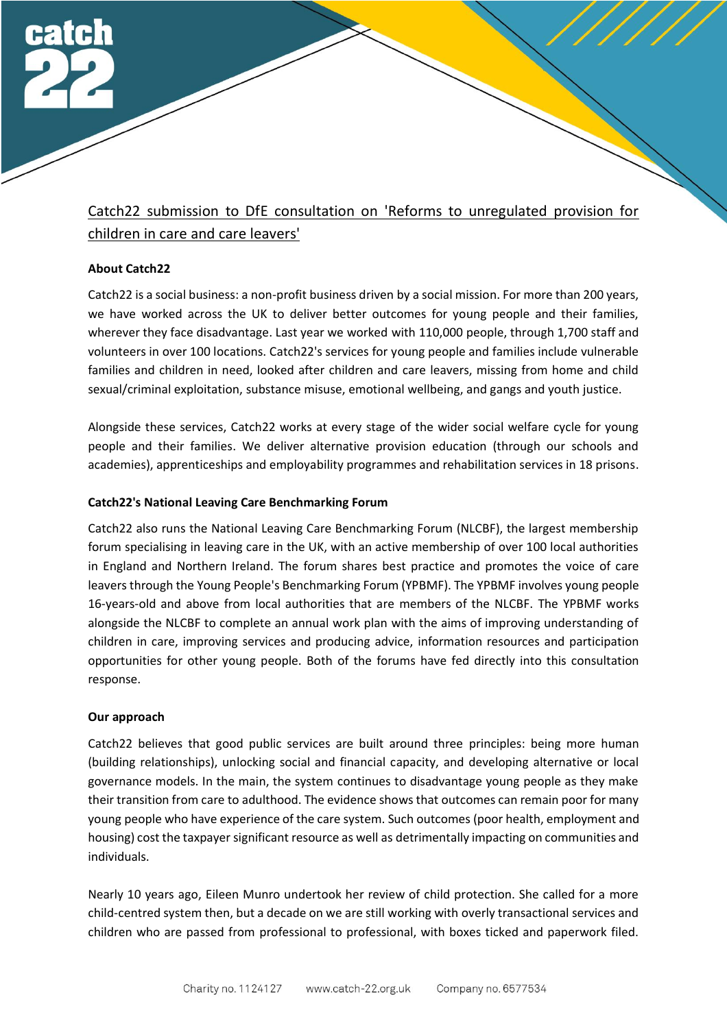# Catch22 submission to DfE consultation on 'Reforms to unregulated provision for children in care and care leavers'

# **About Catch22**

Catch22 is a social business: a non-profit business driven by a social mission. For more than 200 years, we have worked across the UK to deliver better outcomes for young people and their families, wherever they face disadvantage. Last year we worked with 110,000 people, through 1,700 staff and volunteers in over 100 locations. Catch22's services for young people and families include vulnerable families and children in need, looked after children and care leavers, missing from home and child sexual/criminal exploitation, substance misuse, emotional wellbeing, and gangs and youth justice.

Alongside these services, Catch22 works at every stage of the wider social welfare cycle for young people and their families. We deliver alternative provision education (through our schools and academies), apprenticeships and employability programmes and rehabilitation services in 18 prisons.

#### **Catch22's National Leaving Care Benchmarking Forum**

Catch22 also runs the National Leaving Care Benchmarking Forum (NLCBF), the largest membership forum specialising in leaving care in the UK, with an active membership of over 100 local authorities in England and Northern Ireland. The forum shares best practice and promotes the voice of care leavers through the Young People's Benchmarking Forum (YPBMF). The YPBMF involves young people 16-years-old and above from local authorities that are members of the NLCBF. The YPBMF works alongside the NLCBF to complete an annual work plan with the aims of improving understanding of children in care, improving services and producing advice, information resources and participation opportunities for other young people. Both of the forums have fed directly into this consultation response.

#### **Our approach**

Catch22 believes that good public services are built around three principles: being more human (building relationships), unlocking social and financial capacity, and developing alternative or local governance models. In the main, the system continues to disadvantage young people as they make their transition from care to adulthood. The evidence shows that outcomes can remain poor for many young people who have experience of the care system. Such outcomes (poor health, employment and housing) cost the taxpayer significant resource as well as detrimentally impacting on communities and individuals.

Nearly 10 years ago, Eileen Munro undertook her review of child protection. She called for a more child-centred system then, but a decade on we are still working with overly transactional services and children who are passed from professional to professional, with boxes ticked and paperwork filed.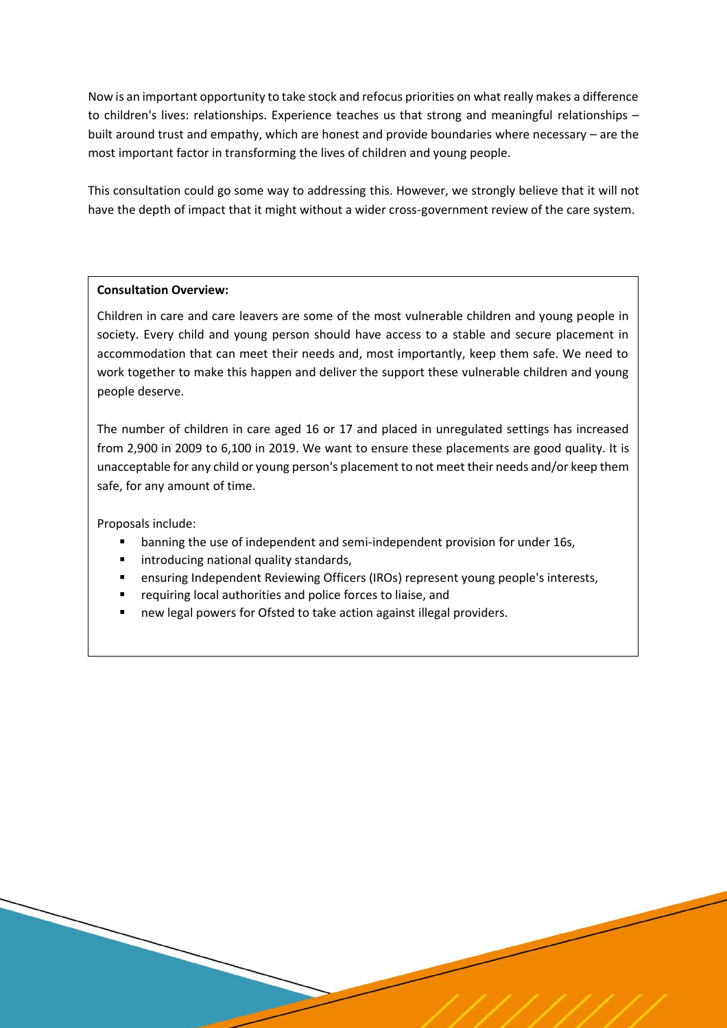Now is an important opportunity to take stock and refocus priorities on what really makes a difference to children's lives: relationships. Experience teaches us that strong and meaningful relationships – built around trust and empathy, which are honest and provide boundaries where necessary – are the most important factor in transforming the lives of children and young people.

This consultation could go some way to addressing this. However, we strongly believe that it will not have the depth of impact that it might without a wider cross-government review of the care system.

#### **Consultation Overview:**

Children in care and care leavers are some of the most vulnerable children and young people in society. Every child and young person should have access to a stable and secure placement in accommodation that can meet their needs and, most importantly, keep them safe. We need to work together to make this happen and deliver the support these vulnerable children and young people deserve.

The number of children in care aged 16 or 17 and placed in unregulated settings has increased from 2,900 in 2009 to 6,100 in 2019. We want to ensure these placements are good quality. It is unacceptable for any child or young person's placement to not meet their needs and/or keep them safe, for any amount of time.

Proposals include:

- banning the use of independent and semi-independent provision for under 16s,
- introducing national quality standards,
- ensuring Independent Reviewing Officers (IROs) represent young people's interests,
- requiring local authorities and police forces to liaise, and
- new legal powers for Ofsted to take action against illegal providers.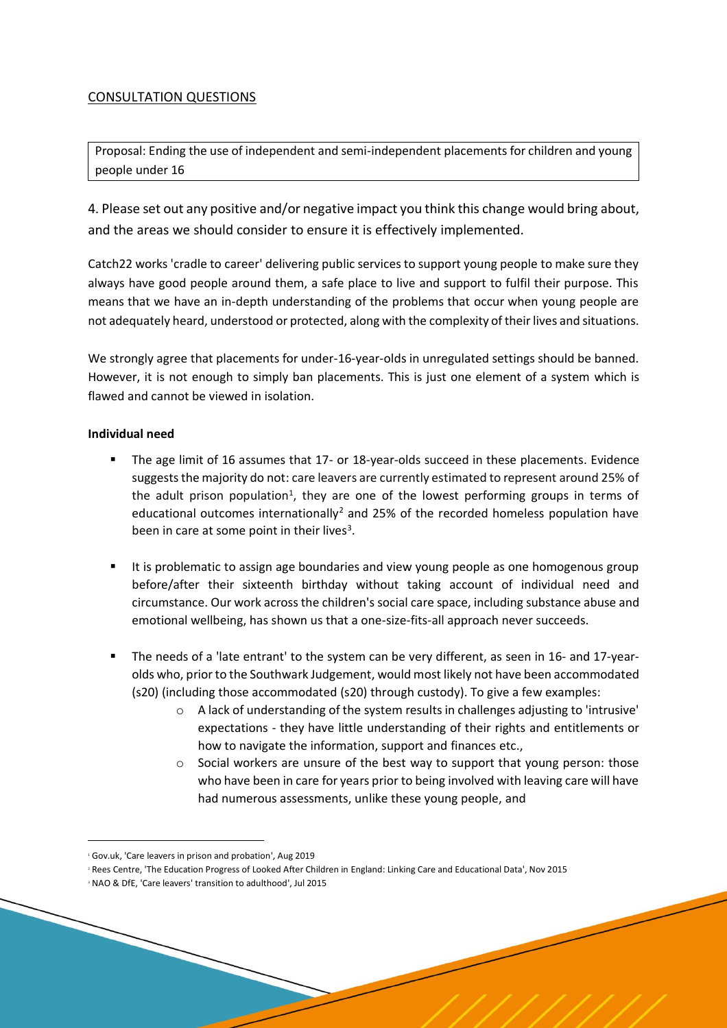# CONSULTATION QUESTIONS

Proposal: Ending the use of independent and semi-independent placements for children and young people under 16

4. Please set out any positive and/or negative impact you think this change would bring about, and the areas we should consider to ensure it is effectively implemented.

Catch22 works 'cradle to career' delivering public services to support young people to make sure they always have good people around them, a safe place to live and support to fulfil their purpose. This means that we have an in-depth understanding of the problems that occur when young people are not adequately heard, understood or protected, along with the complexity of their lives and situations.

We strongly agree that placements for under-16-year-olds in unregulated settings should be banned. However, it is not enough to simply ban placements. This is just one element of a system which is flawed and cannot be viewed in isolation.

# **Individual need**

- The age limit of 16 assumes that 17- or 18-year-olds succeed in these placements. Evidence suggests the majority do not: care leavers are currently estimated to represent around 25% of the adult prison population<sup>1</sup>, they are one of the lowest performing groups in terms of educational outcomes internationally<sup>2</sup> and 25% of the recorded homeless population have been in care at some point in their lives<sup>3</sup>.
- It is problematic to assign age boundaries and view young people as one homogenous group before/after their sixteenth birthday without taking account of individual need and circumstance. Our work across the children's social care space, including substance abuse and emotional wellbeing, has shown us that a one-size-fits-all approach never succeeds.
- The needs of a 'late entrant' to the system can be very different, as seen in 16- and 17-yearolds who, prior to the Southwark Judgement, would most likely not have been accommodated (s20) (including those accommodated (s20) through custody). To give a few examples:
	- $\circ$  A lack of understanding of the system results in challenges adjusting to 'intrusive' expectations - they have little understanding of their rights and entitlements or how to navigate the information, support and finances etc.,
	- $\circ$  Social workers are unsure of the best way to support that young person: those who have been in care for years prior to being involved with leaving care will have had numerous assessments, unlike these young people, and

<sup>1</sup> Gov.uk, 'Care leavers in prison and probation', Aug 2019

<sup>&</sup>lt;sup>2</sup> Rees Centre, 'The Education Progress of Looked After Children in England: Linking Care and Educational Data', Nov 2015

<sup>3</sup> NAO & DfE, 'Care leavers' transition to adulthood', Jul 2015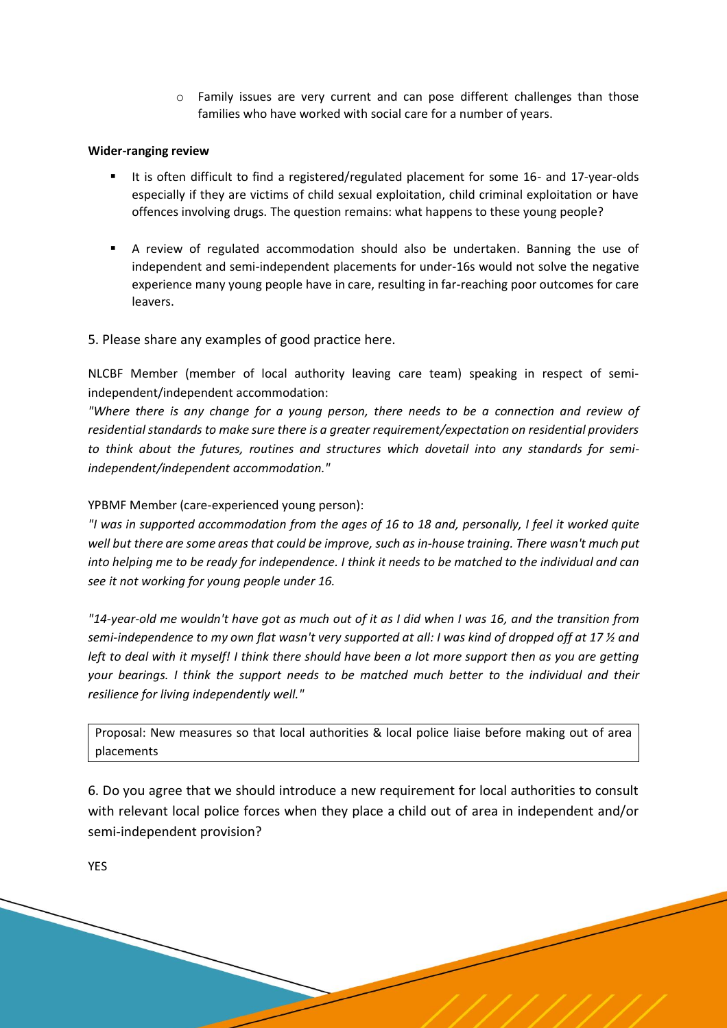o Family issues are very current and can pose different challenges than those families who have worked with social care for a number of years.

# **Wider-ranging review**

- It is often difficult to find a registered/regulated placement for some 16- and 17-year-olds especially if they are victims of child sexual exploitation, child criminal exploitation or have offences involving drugs. The question remains: what happens to these young people?
- A review of regulated accommodation should also be undertaken. Banning the use of independent and semi-independent placements for under-16s would not solve the negative experience many young people have in care, resulting in far-reaching poor outcomes for care leavers.
- 5. Please share any examples of good practice here.

NLCBF Member (member of local authority leaving care team) speaking in respect of semiindependent/independent accommodation:

*"Where there is any change for a young person, there needs to be a connection and review of residential standards to make sure there is a greater requirement/expectation on residential providers to think about the futures, routines and structures which dovetail into any standards for semiindependent/independent accommodation."*

# YPBMF Member (care-experienced young person):

*"I was in supported accommodation from the ages of 16 to 18 and, personally, I feel it worked quite well but there are some areas that could be improve, such as in-house training. There wasn't much put into helping me to be ready for independence. I think it needs to be matched to the individual and can see it not working for young people under 16.* 

*"14-year-old me wouldn't have got as much out of it as I did when I was 16, and the transition from semi-independence to my own flat wasn't very supported at all: I was kind of dropped off at 17 ½ and left to deal with it myself! I think there should have been a lot more support then as you are getting your bearings. I think the support needs to be matched much better to the individual and their resilience for living independently well."*

Proposal: New measures so that local authorities & local police liaise before making out of area placements

6. Do you agree that we should introduce a new requirement for local authorities to consult with relevant local police forces when they place a child out of area in independent and/or semi-independent provision?

YES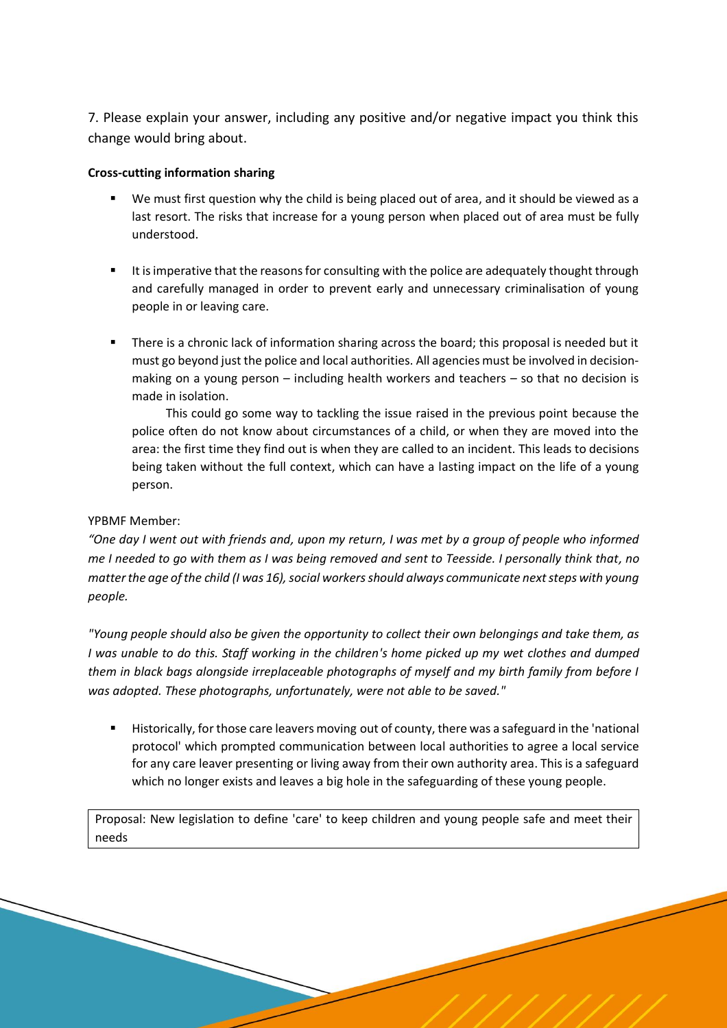7. Please explain your answer, including any positive and/or negative impact you think this change would bring about.

#### **Cross-cutting information sharing**

- We must first question why the child is being placed out of area, and it should be viewed as a last resort. The risks that increase for a young person when placed out of area must be fully understood.
- It is imperative that the reasons for consulting with the police are adequately thought through and carefully managed in order to prevent early and unnecessary criminalisation of young people in or leaving care.
- There is a chronic lack of information sharing across the board; this proposal is needed but it must go beyond just the police and local authorities. All agencies must be involved in decisionmaking on a young person – including health workers and teachers – so that no decision is made in isolation.

This could go some way to tackling the issue raised in the previous point because the police often do not know about circumstances of a child, or when they are moved into the area: the first time they find out is when they are called to an incident. This leads to decisions being taken without the full context, which can have a lasting impact on the life of a young person.

# YPBMF Member:

*"One day I went out with friends and, upon my return, I was met by a group of people who informed me I needed to go with them as I was being removed and sent to Teesside. I personally think that, no matter the age of the child (I was 16), social workers should always communicate next steps with young people.* 

*"Young people should also be given the opportunity to collect their own belongings and take them, as I was unable to do this. Staff working in the children's home picked up my wet clothes and dumped them in black bags alongside irreplaceable photographs of myself and my birth family from before I was adopted. These photographs, unfortunately, were not able to be saved."*

**E** Historically, for those care leavers moving out of county, there was a safeguard in the 'national protocol' which prompted communication between local authorities to agree a local service for any care leaver presenting or living away from their own authority area. This is a safeguard which no longer exists and leaves a big hole in the safeguarding of these young people.

Proposal: New legislation to define 'care' to keep children and young people safe and meet their needs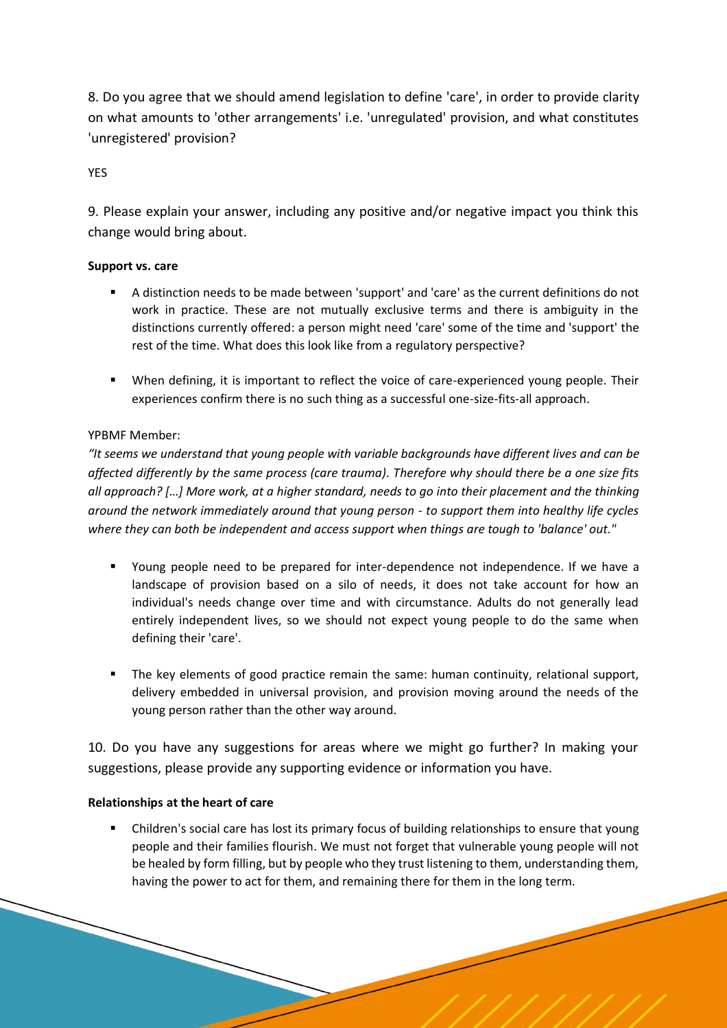8. Do you agree that we should amend legislation to define 'care', in order to provide clarity on what amounts to 'other arrangements' i.e. 'unregulated' provision, and what constitutes 'unregistered' provision?

YES

9. Please explain your answer, including any positive and/or negative impact you think this change would bring about.

# **Support vs. care**

- A distinction needs to be made between 'support' and 'care' as the current definitions do not work in practice. These are not mutually exclusive terms and there is ambiguity in the distinctions currently offered: a person might need 'care' some of the time and 'support' the rest of the time. What does this look like from a regulatory perspective?
- When defining, it is important to reflect the voice of care-experienced young people. Their experiences confirm there is no such thing as a successful one-size-fits-all approach.

# YPBMF Member:

*"It seems we understand that young people with variable backgrounds have different lives and can be affected differently by the same process (care trauma). Therefore why should there be a one size fits all approach? […] More work, at a higher standard, needs to go into their placement and the thinking around the network immediately around that young person - to support them into healthy life cycles where they can both be independent and access support when things are tough to 'balance' out."*

- Young people need to be prepared for inter-dependence not independence. If we have a landscape of provision based on a silo of needs, it does not take account for how an individual's needs change over time and with circumstance. Adults do not generally lead entirely independent lives, so we should not expect young people to do the same when defining their 'care'.
- The key elements of good practice remain the same: human continuity, relational support, delivery embedded in universal provision, and provision moving around the needs of the young person rather than the other way around.

10. Do you have any suggestions for areas where we might go further? In making your suggestions, please provide any supporting evidence or information you have.

# **Relationships at the heart of care**

Children's social care has lost its primary focus of building relationships to ensure that young people and their families flourish. We must not forget that vulnerable young people will not be healed by form filling, but by people who they trust listening to them, understanding them, having the power to act for them, and remaining there for them in the long term.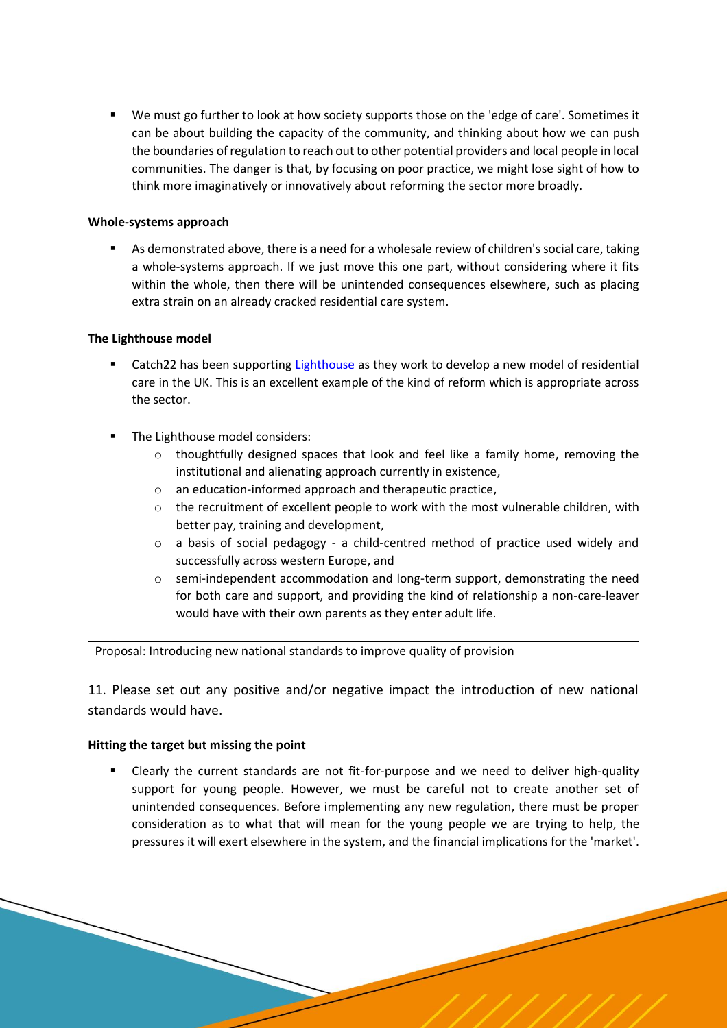We must go further to look at how society supports those on the 'edge of care'. Sometimes it can be about building the capacity of the community, and thinking about how we can push the boundaries of regulation to reach out to other potential providers and local people in local communities. The danger is that, by focusing on poor practice, we might lose sight of how to think more imaginatively or innovatively about reforming the sector more broadly.

#### **Whole-systems approach**

▪ As demonstrated above, there is a need for a wholesale review of children's social care, taking a whole-systems approach. If we just move this one part, without considering where it fits within the whole, then there will be unintended consequences elsewhere, such as placing extra strain on an already cracked residential care system.

#### **The Lighthouse model**

- Catch22 has been supporting [Lighthouse](https://lighthousechildrenshomes.org.uk/our-vision/) as they work to develop a new model of residential care in the UK. This is an excellent example of the kind of reform which is appropriate across the sector.
- The Lighthouse model considers:
	- $\circ$  thoughtfully designed spaces that look and feel like a family home, removing the institutional and alienating approach currently in existence,
	- o an education-informed approach and therapeutic practice,
	- $\circ$  the recruitment of excellent people to work with the most vulnerable children, with better pay, training and development,
	- o a basis of social pedagogy a child-centred method of practice used widely and successfully across western Europe, and
	- $\circ$  semi-independent accommodation and long-term support, demonstrating the need for both care and support, and providing the kind of relationship a non-care-leaver would have with their own parents as they enter adult life.

Proposal: Introducing new national standards to improve quality of provision

11. Please set out any positive and/or negative impact the introduction of new national standards would have.

#### **Hitting the target but missing the point**

Clearly the current standards are not fit-for-purpose and we need to deliver high-quality support for young people. However, we must be careful not to create another set of unintended consequences. Before implementing any new regulation, there must be proper consideration as to what that will mean for the young people we are trying to help, the pressures it will exert elsewhere in the system, and the financial implications for the 'market'.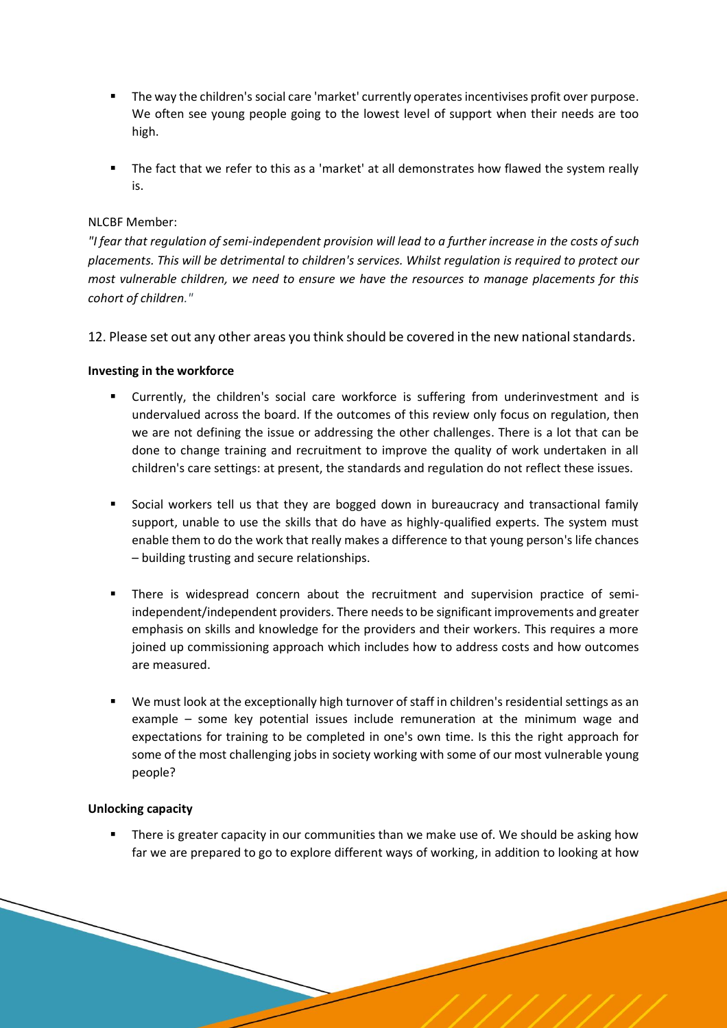- The way the children's social care 'market' currently operates incentivises profit over purpose. We often see young people going to the lowest level of support when their needs are too high.
- The fact that we refer to this as a 'market' at all demonstrates how flawed the system really is.

# NLCBF Member:

*"I fear that regulation of semi-independent provision will lead to a further increase in the costs of such placements. This will be detrimental to children's services. Whilst regulation is required to protect our most vulnerable children, we need to ensure we have the resources to manage placements for this cohort of children."*

12. Please set out any other areas you think should be covered in the new national standards.

# **Investing in the workforce**

- Currently, the children's social care workforce is suffering from underinvestment and is undervalued across the board. If the outcomes of this review only focus on regulation, then we are not defining the issue or addressing the other challenges. There is a lot that can be done to change training and recruitment to improve the quality of work undertaken in all children's care settings: at present, the standards and regulation do not reflect these issues.
- Social workers tell us that they are bogged down in bureaucracy and transactional family support, unable to use the skills that do have as highly-qualified experts. The system must enable them to do the work that really makes a difference to that young person's life chances – building trusting and secure relationships.
- **•** There is widespread concern about the recruitment and supervision practice of semiindependent/independent providers. There needs to be significant improvements and greater emphasis on skills and knowledge for the providers and their workers. This requires a more joined up commissioning approach which includes how to address costs and how outcomes are measured.
- We must look at the exceptionally high turnover of staff in children's residential settings as an example – some key potential issues include remuneration at the minimum wage and expectations for training to be completed in one's own time. Is this the right approach for some of the most challenging jobs in society working with some of our most vulnerable young people?

#### **Unlocking capacity**

There is greater capacity in our communities than we make use of. We should be asking how far we are prepared to go to explore different ways of working, in addition to looking at how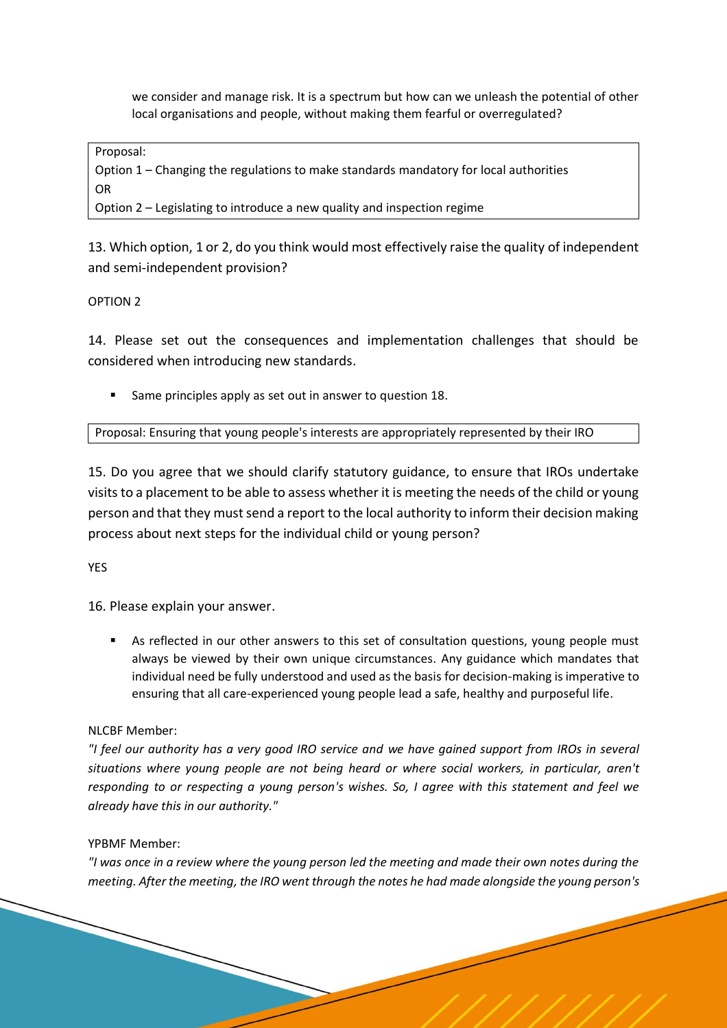we consider and manage risk. It is a spectrum but how can we unleash the potential of other local organisations and people, without making them fearful or overregulated?

Proposal:

Option 1 – Changing the regulations to make standards mandatory for local authorities OR

Option 2 – Legislating to introduce a new quality and inspection regime

13. Which option, 1 or 2, do you think would most effectively raise the quality of independent and semi-independent provision?

# OPTION 2

14. Please set out the consequences and implementation challenges that should be considered when introducing new standards.

Same principles apply as set out in answer to question 18.

Proposal: Ensuring that young people's interests are appropriately represented by their IRO

15. Do you agree that we should clarify statutory guidance, to ensure that IROs undertake visits to a placement to be able to assess whether it is meeting the needs of the child or young person and that they must send a report to the local authority to inform their decision making process about next steps for the individual child or young person?

YES

16. Please explain your answer.

As reflected in our other answers to this set of consultation questions, young people must always be viewed by their own unique circumstances. Any guidance which mandates that individual need be fully understood and used as the basis for decision-making is imperative to ensuring that all care-experienced young people lead a safe, healthy and purposeful life.

# NLCBF Member:

*"I feel our authority has a very good IRO service and we have gained support from IROs in several situations where young people are not being heard or where social workers, in particular, aren't responding to or respecting a young person's wishes. So, I agree with this statement and feel we already have this in our authority."*

# YPBMF Member:

*"I was once in a review where the young person led the meeting and made their own notes during the meeting. After the meeting, the IRO went through the notes he had made alongside the young person's*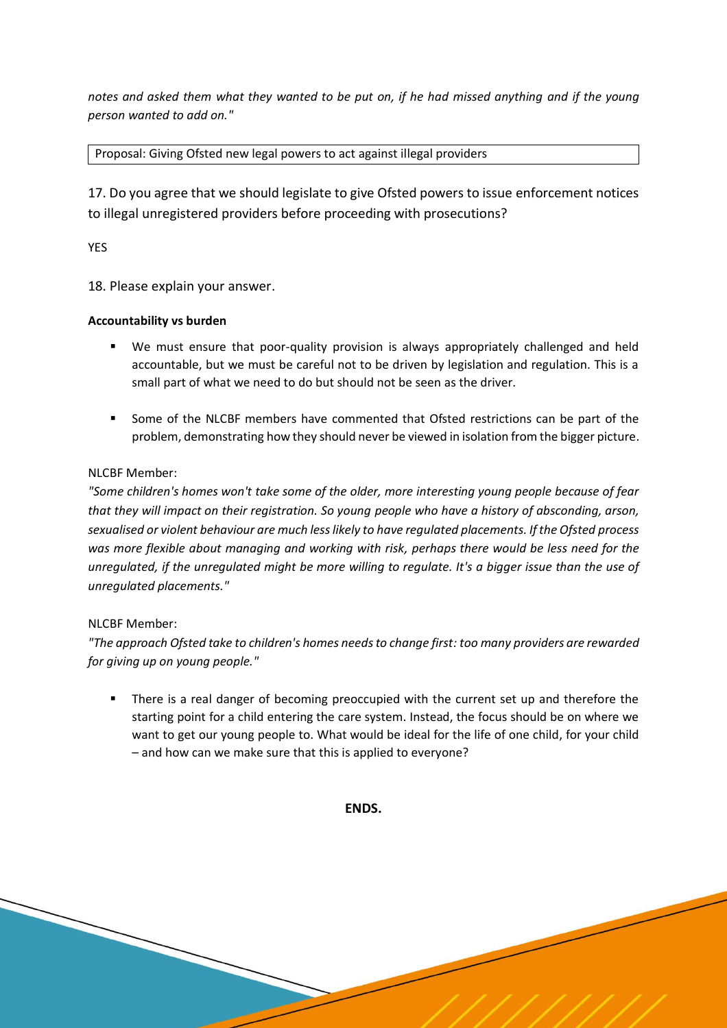*notes and asked them what they wanted to be put on, if he had missed anything and if the young person wanted to add on."*

Proposal: Giving Ofsted new legal powers to act against illegal providers

17. Do you agree that we should legislate to give Ofsted powers to issue enforcement notices to illegal unregistered providers before proceeding with prosecutions?

YES

18. Please explain your answer.

#### **Accountability vs burden**

- We must ensure that poor-quality provision is always appropriately challenged and held accountable, but we must be careful not to be driven by legislation and regulation. This is a small part of what we need to do but should not be seen as the driver.
- Some of the NLCBF members have commented that Ofsted restrictions can be part of the problem, demonstrating how they should never be viewed in isolation from the bigger picture.

# NLCBF Member:

*"Some children's homes won't take some of the older, more interesting young people because of fear that they will impact on their registration. So young people who have a history of absconding, arson, sexualised or violent behaviour are much less likely to have regulated placements. If the Ofsted process was more flexible about managing and working with risk, perhaps there would be less need for the unregulated, if the unregulated might be more willing to regulate. It's a bigger issue than the use of unregulated placements."*

#### NLCBF Member:

*"The approach Ofsted take to children's homes needs to change first: too many providers are rewarded for giving up on young people."*

■ There is a real danger of becoming preoccupied with the current set up and therefore the starting point for a child entering the care system. Instead, the focus should be on where we want to get our young people to. What would be ideal for the life of one child, for your child – and how can we make sure that this is applied to everyone?

**ENDS.**